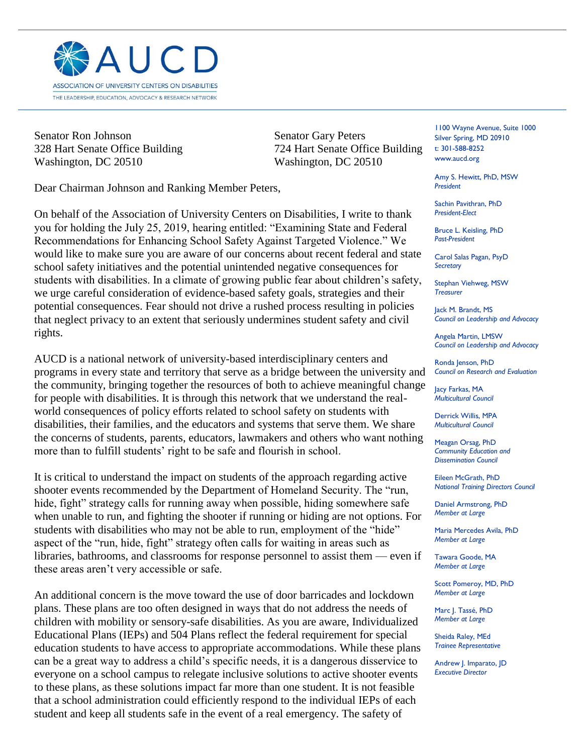

Senator Ron Johnson Senator Gary Peters Washington, DC 20510 Washington, DC 20510

328 Hart Senate Office Building 724 Hart Senate Office Building

j

Dear Chairman Johnson and Ranking Member Peters,

On behalf of the Association of University Centers on Disabilities, I write to thank you for holding the July 25, 2019, hearing entitled: "Examining State and Federal Recommendations for Enhancing School Safety Against Targeted Violence." We would like to make sure you are aware of our concerns about recent federal and state school safety initiatives and the potential unintended negative consequences for students with disabilities. In a climate of growing public fear about children's safety, we urge careful consideration of evidence-based safety goals, strategies and their potential consequences. Fear should not drive a rushed process resulting in policies that neglect privacy to an extent that seriously undermines student safety and civil rights.

AUCD is a national network of university-based interdisciplinary centers and programs in every state and territory that serve as a bridge between the university and the community, bringing together the resources of both to achieve meaningful change for people with disabilities. It is through this network that we understand the realworld consequences of policy efforts related to school safety on students with disabilities, their families, and the educators and systems that serve them. We share the concerns of students, parents, educators, lawmakers and others who want nothing more than to fulfill students' right to be safe and flourish in school.

It is critical to understand the impact on students of the approach regarding active shooter events recommended by the Department of Homeland Security. The "run, hide, fight" strategy calls for running away when possible, hiding somewhere safe when unable to run, and fighting the shooter if running or hiding are not options. For students with disabilities who may not be able to run, employment of the "hide" aspect of the "run, hide, fight" strategy often calls for waiting in areas such as libraries, bathrooms, and classrooms for response personnel to assist them — even if these areas aren't very accessible or safe.

An additional concern is the move toward the use of door barricades and lockdown plans. These plans are too often designed in ways that do not address the needs of children with mobility or sensory-safe disabilities. As you are aware, Individualized Educational Plans (IEPs) and 504 Plans reflect the federal requirement for special education students to have access to appropriate accommodations. While these plans can be a great way to address a child's specific needs, it is a dangerous disservice to everyone on a school campus to relegate inclusive solutions to active shooter events to these plans, as these solutions impact far more than one student. It is not feasible that a school administration could efficiently respond to the individual IEPs of each student and keep all students safe in the event of a real emergency. The safety of

1100 Wayne Avenue, Suite 1000 Silver Spring, MD 20910 t: 301-588-8252 www.aucd.org

Amy S. Hewitt, PhD, MSW *President*

Sachin Pavithran, PhD *President-Elect*

Bruce L. Keisling, PhD *Past-President*

Carol Salas Pagan, PsyD *Secretary*

Stephan Viehweg, MSW *Treasurer*

Jack M. Brandt, MS *Council on Leadership and Advocacy*

Angela Martin, LMSW *Council on Leadership and Advocacy*

Ronda Jenson, PhD *Council on Research and Evaluation*

lacy Farkas, MA *Multicultural Council* 

Derrick Willis, MPA *Multicultural Council*

Meagan Orsag, PhD *Community Education and Dissemination Council*

Eileen McGrath, PhD *National Training Directors Council*

Daniel Armstrong, PhD *Member at Large*

Maria Mercedes Avila, PhD *Member at Large*

Tawara Goode, MA *Member at Large*

Scott Pomeroy, MD, PhD *Member at Large*

Marc J. Tassé, PhD *Member at Large*

Sheida Raley, MEd *Trainee Representative*

Andrew J. Imparato, JD *Executive Director*